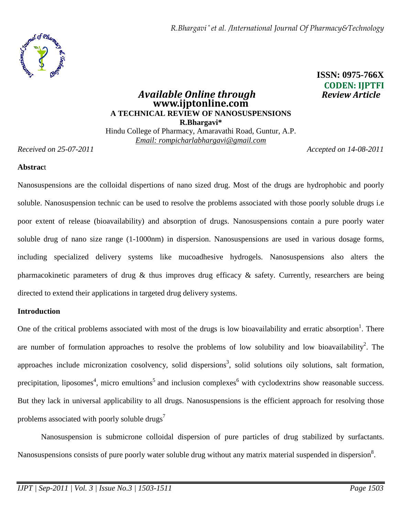*R.Bhargavi \* et al. /International Journal Of Pharmacy&Technology*



# **ISSN: 0975-766X CODEN: IJPTFI**

# *Available Online through* **www.ijptonline.com A TECHNICAL REVIEW OF NANOSUSPENSIONS R.Bhargavi\***  Hindu College of Pharmacy, Amaravathi Road, Guntur, A.P.

*Email: rompicharlabhargavi@gmail.com*

*Received on 25-07-2011 Accepted on 14-08-2011*

# **Abstrac**t

Nanosuspensions are the colloidal dispertions of nano sized drug. Most of the drugs are hydrophobic and poorly soluble. Nanosuspension technic can be used to resolve the problems associated with those poorly soluble drugs i.e poor extent of release (bioavailability) and absorption of drugs. Nanosuspensions contain a pure poorly water soluble drug of nano size range (1-1000nm) in dispersion. Nanosuspensions are used in various dosage forms, including specialized delivery systems like mucoadhesive hydrogels. Nanosuspensions also alters the pharmacokinetic parameters of drug & thus improves drug efficacy & safety. Currently, researchers are being directed to extend their applications in targeted drug delivery systems.

# **Introduction**

One of the critical problems associated with most of the drugs is low bioavailability and erratic absorption<sup>1</sup>. There are number of formulation approaches to resolve the problems of low solubility and low bioavailability<sup>2</sup>. The approaches include micronization cosolvency, solid dispersions<sup>3</sup>, solid solutions oily solutions, salt formation, precipitation, liposomes<sup>4</sup>, micro emultions<sup>5</sup> and inclusion complexes<sup>6</sup> with cyclodextrins show reasonable success. But they lack in universal applicability to all drugs. Nanosuspensions is the efficient approach for resolving those problems associated with poorly soluble drugs<sup> $\prime$ </sup>

 Nanosuspension is submicrone colloidal dispersion of pure particles of drug stabilized by surfactants. Nanosuspensions consists of pure poorly water soluble drug without any matrix material suspended in dispersion<sup>8</sup>.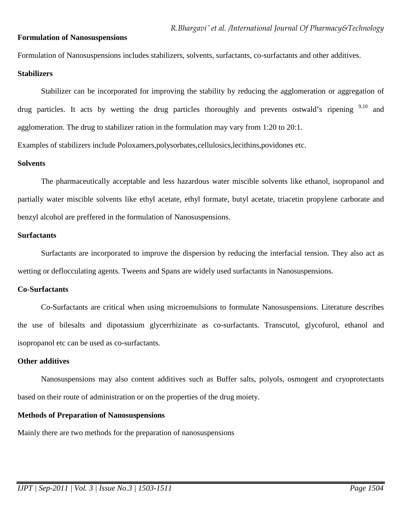### **Formulation of Nanosuspensions**

Formulation of Nanosuspensions includes stabilizers, solvents, surfactants, co-surfactants and other additives.

### **Stabilizers**

Stabilizer can be incorporated for improving the stability by reducing the agglomeration or aggregation of drug particles. It acts by wetting the drug particles thoroughly and prevents ostwald's ripening  $9,10$  and agglomeration. The drug to stabilizer ration in the formulation may vary from 1:20 to 20:1.

Examples of stabilizers include Poloxamers,polysorbates,cellulosics,lecithins,povidones etc.

### **Solvents**

 The pharmaceutically acceptable and less hazardous water miscible solvents like ethanol, isopropanol and partially water miscible solvents like ethyl acetate, ethyl formate, butyl acetate, triacetin propylene carborate and benzyl alcohol are preffered in the formulation of Nanosuspensions.

### **Surfactants**

Surfactants are incorporated to improve the dispersion by reducing the interfacial tension. They also act as wetting or deflocculating agents. Tweens and Spans are widely used surfactants in Nanosuspensions.

### **Co-Surfactants**

 Co-Surfactants are critical when using microemulsions to formulate Nanosuspensions. Literature describes the use of bilesalts and dipotassium glycerrhizinate as co-surfactants. Transcutol, glycofurol, ethanol and isopropanol etc can be used as co-surfactants.

#### **Other additives**

 Nanosuspensions may also content additives such as Buffer salts, polyols, osmogent and cryoprotectants based on their route of administration or on the properties of the drug moiety.

### **Methods of Preparation of Nanosuspensions**

Mainly there are two methods for the preparation of nanosuspensions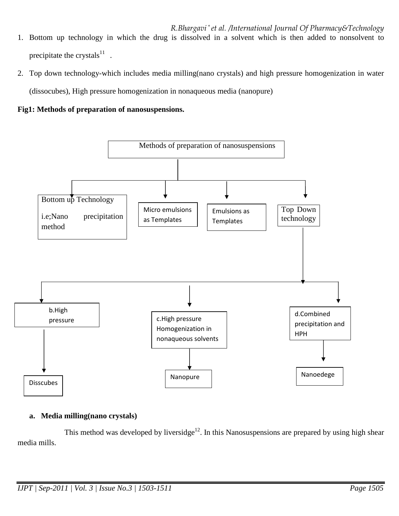*R.Bhargavi \* et al. /International Journal Of Pharmacy&Technology* 1. Bottom up technology in which the drug is dissolved in a solvent which is then added to nonsolvent to precipitate the crystals $^{11}$ .

2. Top down technology-which includes media milling(nano crystals) and high pressure homogenization in water (dissocubes), High pressure homogenization in nonaqueous media (nanopure)

**Fig1: Methods of preparation of nanosuspensions.** 



# **a. Media milling(nano crystals)**

This method was developed by liversidge<sup>12</sup>. In this Nanosuspensions are prepared by using high shear media mills.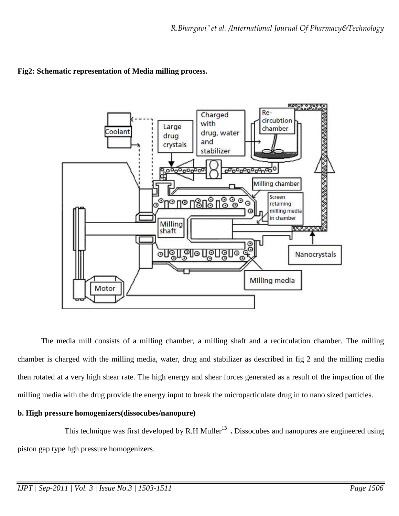

# **Fig2: Schematic representation of Media milling process.**

The media mill consists of a milling chamber, a milling shaft and a recirculation chamber. The milling chamber is charged with the milling media, water, drug and stabilizer as described in fig 2 and the milling media then rotated at a very high shear rate. The high energy and shear forces generated as a result of the impaction of the milling media with the drug provide the energy input to break the microparticulate drug in to nano sized particles.

# **b. High pressure homogenizers(dissocubes/nanopure)**

This technique was first developed by R.H Muller<sup>13</sup>. Dissocubes and nanopures are engineered using piston gap type hgh pressure homogenizers.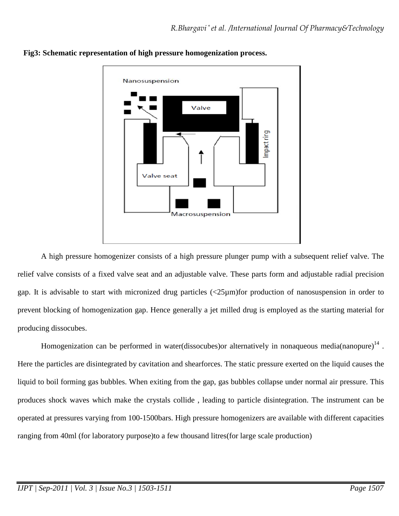

**Fig3: Schematic representation of high pressure homogenization process.** 

 A high pressure homogenizer consists of a high pressure plunger pump with a subsequent relief valve. The relief valve consists of a fixed valve seat and an adjustable valve. These parts form and adjustable radial precision gap. It is advisable to start with micronized drug particles (<25µm)for production of nanosuspension in order to prevent blocking of homogenization gap. Hence generally a jet milled drug is employed as the starting material for producing dissocubes.

Homogenization can be performed in water(dissocubes) or alternatively in nonaqueous media(nanopure) $^{14}$ . Here the particles are disintegrated by cavitation and shearforces. The static pressure exerted on the liquid causes the liquid to boil forming gas bubbles. When exiting from the gap, gas bubbles collapse under normal air pressure. This produces shock waves which make the crystals collide , leading to particle disintegration. The instrument can be operated at pressures varying from 100-1500bars. High pressure homogenizers are available with different capacities ranging from 40ml (for laboratory purpose)to a few thousand litres(for large scale production)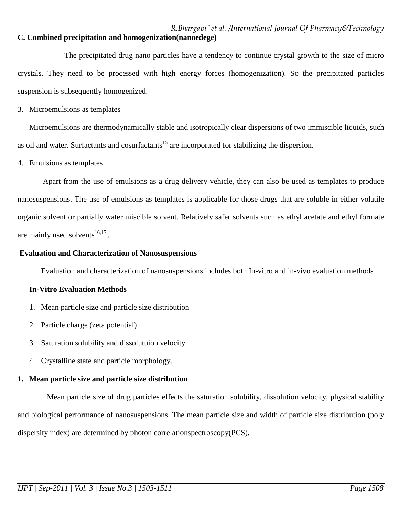# *R.Bhargavi \* et al. /International Journal Of Pharmacy&Technology* **C. Combined precipitation and homogenization(nanoedege)**

 The precipitated drug nano particles have a tendency to continue crystal growth to the size of micro crystals. They need to be processed with high energy forces (homogenization). So the precipitated particles suspension is subsequently homogenized.

3. Microemulsions as templates

Microemulsions are thermodynamically stable and isotropically clear dispersions of two immiscible liquids, such as oil and water. Surfactants and cosurfactants<sup>15</sup> are incorporated for stabilizing the dispersion.

4. Emulsions as templates

 Apart from the use of emulsions as a drug delivery vehicle, they can also be used as templates to produce nanosuspensions. The use of emulsions as templates is applicable for those drugs that are soluble in either volatile organic solvent or partially water miscible solvent. Relatively safer solvents such as ethyl acetate and ethyl formate are mainly used solvents $^{16,17}$ .

### **Evaluation and Characterization of Nanosuspensions**

Evaluation and characterization of nanosuspensions includes both In-vitro and in-vivo evaluation methods

# **In-Vitro Evaluation Methods**

- 1. Mean particle size and particle size distribution
- 2. Particle charge (zeta potential)
- 3. Saturation solubility and dissolutuion velocity.
- 4. Crystalline state and particle morphology.

# **1. Mean particle size and particle size distribution**

 Mean particle size of drug particles effects the saturation solubility, dissolution velocity, physical stability and biological performance of nanosuspensions. The mean particle size and width of particle size distribution (poly dispersity index) are determined by photon correlationspectroscopy(PCS).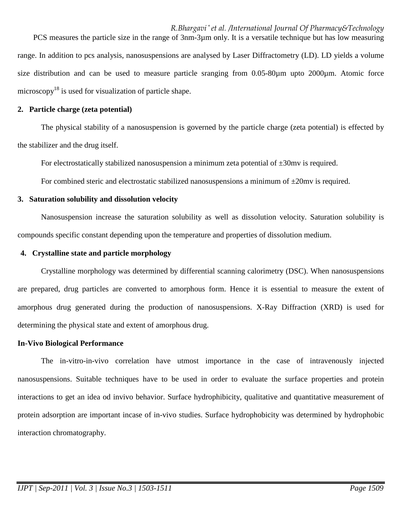*R.Bhargavi \* et al. /International Journal Of Pharmacy&Technology* PCS measures the particle size in the range of 3nm-3µm only. It is a versatile technique but has low measuring range. In addition to pcs analysis, nanosuspensions are analysed by Laser Diffractometry (LD). LD yields a volume size distribution and can be used to measure particle sranging from 0.05-80µm upto 2000µm. Atomic force microscopy<sup>18</sup> is used for visualization of particle shape.

### **2. Particle charge (zeta potential)**

 The physical stability of a nanosuspension is governed by the particle charge (zeta potential) is effected by the stabilizer and the drug itself.

For electrostatically stabilized nanosuspension a minimum zeta potential of  $\pm 30$ mv is required.

For combined steric and electrostatic stabilized nanosuspensions a minimum of  $\pm 20$ mv is required.

# **3. Saturation solubility and dissolution velocity**

 Nanosuspension increase the saturation solubility as well as dissolution velocity. Saturation solubility is compounds specific constant depending upon the temperature and properties of dissolution medium.

# **4. Crystalline state and particle morphology**

Crystalline morphology was determined by differential scanning calorimetry (DSC). When nanosuspensions are prepared, drug particles are converted to amorphous form. Hence it is essential to measure the extent of amorphous drug generated during the production of nanosuspensions. X-Ray Diffraction (XRD) is used for determining the physical state and extent of amorphous drug.

# **In-Vivo Biological Performance**

The in-vitro-in-vivo correlation have utmost importance in the case of intravenously injected nanosuspensions. Suitable techniques have to be used in order to evaluate the surface properties and protein interactions to get an idea od invivo behavior. Surface hydrophibicity, qualitative and quantitative measurement of protein adsorption are important incase of in-vivo studies. Surface hydrophobicity was determined by hydrophobic interaction chromatography.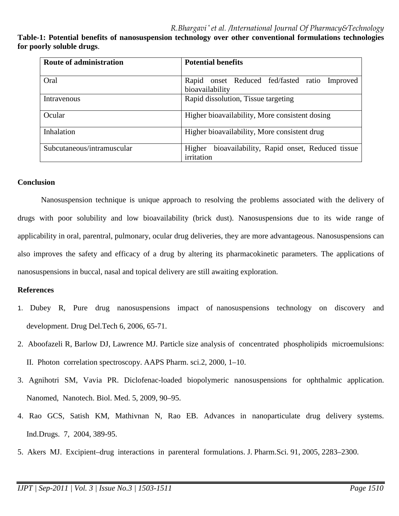**Table-1: Potential benefits of nanosuspension technology over other conventional formulations technologies for poorly soluble drugs**.

| <b>Route of administration</b> | <b>Potential benefits</b>                                            |
|--------------------------------|----------------------------------------------------------------------|
| Oral                           | Rapid onset Reduced fed/fasted ratio Improved<br>bioavailability     |
| Intravenous                    | Rapid dissolution, Tissue targeting                                  |
| Ocular                         | Higher bioavailability, More consistent dosing                       |
| Inhalation                     | Higher bioavailability, More consistent drug                         |
| Subcutaneous/intramuscular     | bioavailability, Rapid onset, Reduced tissue<br>Higher<br>irritation |

### **Conclusion**

 Nanosuspension technique is unique approach to resolving the problems associated with the delivery of drugs with poor solubility and low bioavailability (brick dust). Nanosuspensions due to its wide range of applicability in oral, parentral, pulmonary, ocular drug deliveries, they are more advantageous. Nanosuspensions can also improves the safety and efficacy of a drug by altering its pharmacokinetic parameters. The applications of nanosuspensions in buccal, nasal and topical delivery are still awaiting exploration.

# **References**

- 1. Dubey R, Pure drug nanosuspensions impact of nanosuspensions technology on discovery and development. Drug Del.Tech 6, 2006, 65-71.
- 2. Aboofazeli R, Barlow DJ, Lawrence MJ. Particle size analysis of concentrated phospholipids microemulsions: II. Photon correlation spectroscopy. AAPS Pharm. sci.2, 2000, 1–10.
- 3. Agnihotri SM, Vavia PR. Diclofenac-loaded biopolymeric nanosuspensions for ophthalmic application. Nanomed, Nanotech. Biol. Med. 5, 2009, 90–95.
- 4. Rao GCS, Satish KM, Mathivnan N, Rao EB. Advances in nanoparticulate drug delivery systems. Ind.Drugs. 7, 2004, 389-95.
- 5. Akers MJ. Excipient–drug interactions in parenteral formulations. J. Pharm.Sci. 91, 2005, 2283–2300.